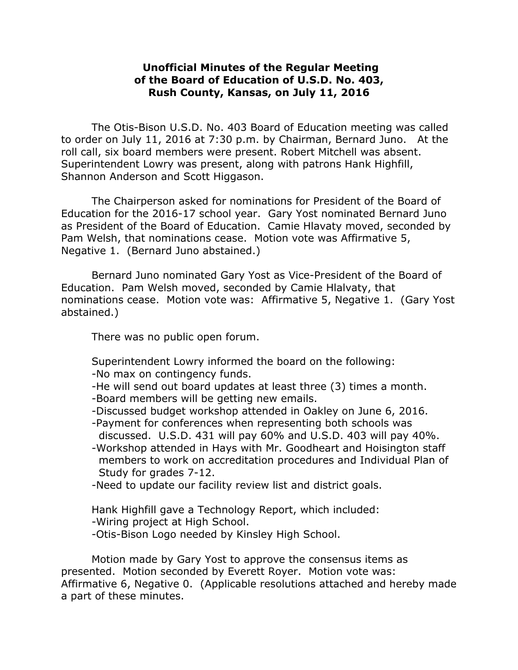## **Unofficial Minutes of the Regular Meeting of the Board of Education of U.S.D. No. 403, Rush County, Kansas, on July 11, 2016**

The Otis-Bison U.S.D. No. 403 Board of Education meeting was called to order on July 11, 2016 at 7:30 p.m. by Chairman, Bernard Juno. At the roll call, six board members were present. Robert Mitchell was absent. Superintendent Lowry was present, along with patrons Hank Highfill, Shannon Anderson and Scott Higgason.

The Chairperson asked for nominations for President of the Board of Education for the 2016-17 school year. Gary Yost nominated Bernard Juno as President of the Board of Education. Camie Hlavaty moved, seconded by Pam Welsh, that nominations cease. Motion vote was Affirmative 5, Negative 1. (Bernard Juno abstained.)

Bernard Juno nominated Gary Yost as Vice-President of the Board of Education. Pam Welsh moved, seconded by Camie Hlalvaty, that nominations cease. Motion vote was: Affirmative 5, Negative 1. (Gary Yost abstained.)

There was no public open forum.

Superintendent Lowry informed the board on the following: -No max on contingency funds.

- -He will send out board updates at least three (3) times a month.
- -Board members will be getting new emails.
- -Discussed budget workshop attended in Oakley on June 6, 2016.
- -Payment for conferences when representing both schools was discussed. U.S.D. 431 will pay 60% and U.S.D. 403 will pay 40%.
- -Workshop attended in Hays with Mr. Goodheart and Hoisington staff members to work on accreditation procedures and Individual Plan of Study for grades 7-12.
- -Need to update our facility review list and district goals.

Hank Highfill gave a Technology Report, which included:

-Wiring project at High School.

-Otis-Bison Logo needed by Kinsley High School.

Motion made by Gary Yost to approve the consensus items as presented. Motion seconded by Everett Royer. Motion vote was: Affirmative 6, Negative 0. (Applicable resolutions attached and hereby made a part of these minutes.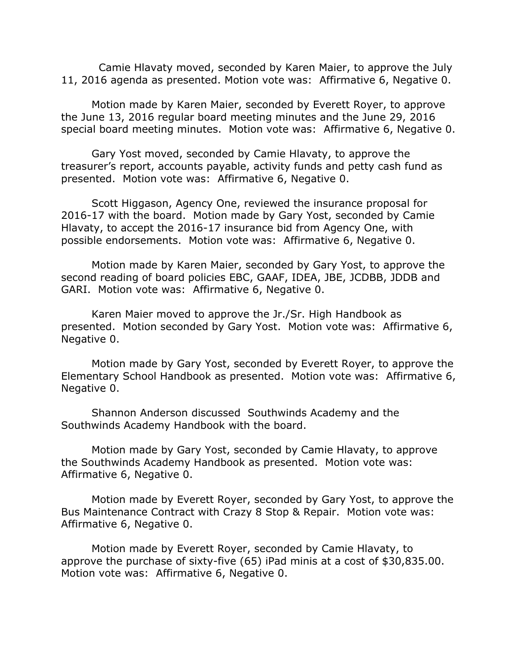Camie Hlavaty moved, seconded by Karen Maier, to approve the July 11, 2016 agenda as presented. Motion vote was: Affirmative 6, Negative 0.

Motion made by Karen Maier, seconded by Everett Royer, to approve the June 13, 2016 regular board meeting minutes and the June 29, 2016 special board meeting minutes. Motion vote was: Affirmative 6, Negative 0.

Gary Yost moved, seconded by Camie Hlavaty, to approve the treasurer's report, accounts payable, activity funds and petty cash fund as presented. Motion vote was: Affirmative 6, Negative 0.

Scott Higgason, Agency One, reviewed the insurance proposal for 2016-17 with the board. Motion made by Gary Yost, seconded by Camie Hlavaty, to accept the 2016-17 insurance bid from Agency One, with possible endorsements. Motion vote was: Affirmative 6, Negative 0.

Motion made by Karen Maier, seconded by Gary Yost, to approve the second reading of board policies EBC, GAAF, IDEA, JBE, JCDBB, JDDB and GARI. Motion vote was: Affirmative 6, Negative 0.

Karen Maier moved to approve the Jr./Sr. High Handbook as presented. Motion seconded by Gary Yost. Motion vote was: Affirmative 6, Negative 0.

Motion made by Gary Yost, seconded by Everett Royer, to approve the Elementary School Handbook as presented. Motion vote was: Affirmative 6, Negative 0.

Shannon Anderson discussed Southwinds Academy and the Southwinds Academy Handbook with the board.

Motion made by Gary Yost, seconded by Camie Hlavaty, to approve the Southwinds Academy Handbook as presented. Motion vote was: Affirmative 6, Negative 0.

Motion made by Everett Royer, seconded by Gary Yost, to approve the Bus Maintenance Contract with Crazy 8 Stop & Repair. Motion vote was: Affirmative 6, Negative 0.

Motion made by Everett Royer, seconded by Camie Hlavaty, to approve the purchase of sixty-five (65) iPad minis at a cost of \$30,835.00. Motion vote was: Affirmative 6, Negative 0.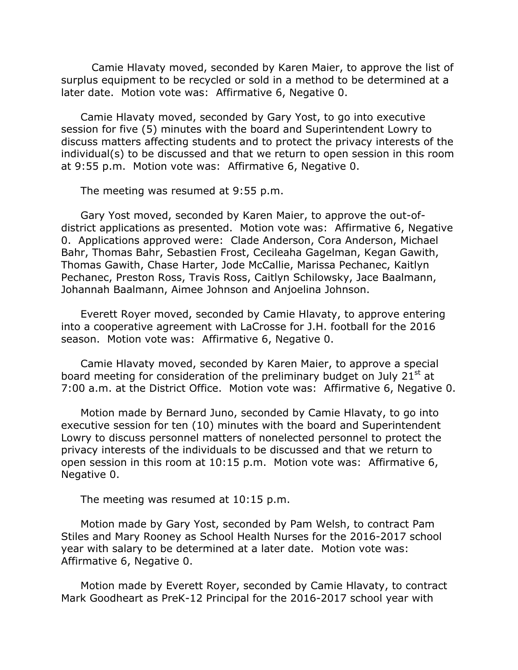Camie Hlavaty moved, seconded by Karen Maier, to approve the list of surplus equipment to be recycled or sold in a method to be determined at a later date. Motion vote was: Affirmative 6, Negative 0.

Camie Hlavaty moved, seconded by Gary Yost, to go into executive session for five (5) minutes with the board and Superintendent Lowry to discuss matters affecting students and to protect the privacy interests of the individual(s) to be discussed and that we return to open session in this room at 9:55 p.m. Motion vote was: Affirmative 6, Negative 0.

The meeting was resumed at 9:55 p.m.

Gary Yost moved, seconded by Karen Maier, to approve the out-ofdistrict applications as presented. Motion vote was: Affirmative 6, Negative 0. Applications approved were: Clade Anderson, Cora Anderson, Michael Bahr, Thomas Bahr, Sebastien Frost, Cecileaha Gagelman, Kegan Gawith, Thomas Gawith, Chase Harter, Jode McCallie, Marissa Pechanec, Kaitlyn Pechanec, Preston Ross, Travis Ross, Caitlyn Schilowsky, Jace Baalmann, Johannah Baalmann, Aimee Johnson and Anjoelina Johnson.

Everett Royer moved, seconded by Camie Hlavaty, to approve entering into a cooperative agreement with LaCrosse for J.H. football for the 2016 season. Motion vote was: Affirmative 6, Negative 0.

Camie Hlavaty moved, seconded by Karen Maier, to approve a special board meeting for consideration of the preliminary budget on July  $21<sup>st</sup>$  at 7:00 a.m. at the District Office. Motion vote was: Affirmative 6, Negative 0.

Motion made by Bernard Juno, seconded by Camie Hlavaty, to go into executive session for ten (10) minutes with the board and Superintendent Lowry to discuss personnel matters of nonelected personnel to protect the privacy interests of the individuals to be discussed and that we return to open session in this room at 10:15 p.m. Motion vote was: Affirmative 6, Negative 0.

The meeting was resumed at 10:15 p.m.

Motion made by Gary Yost, seconded by Pam Welsh, to contract Pam Stiles and Mary Rooney as School Health Nurses for the 2016-2017 school year with salary to be determined at a later date. Motion vote was: Affirmative 6, Negative 0.

Motion made by Everett Royer, seconded by Camie Hlavaty, to contract Mark Goodheart as PreK-12 Principal for the 2016-2017 school year with